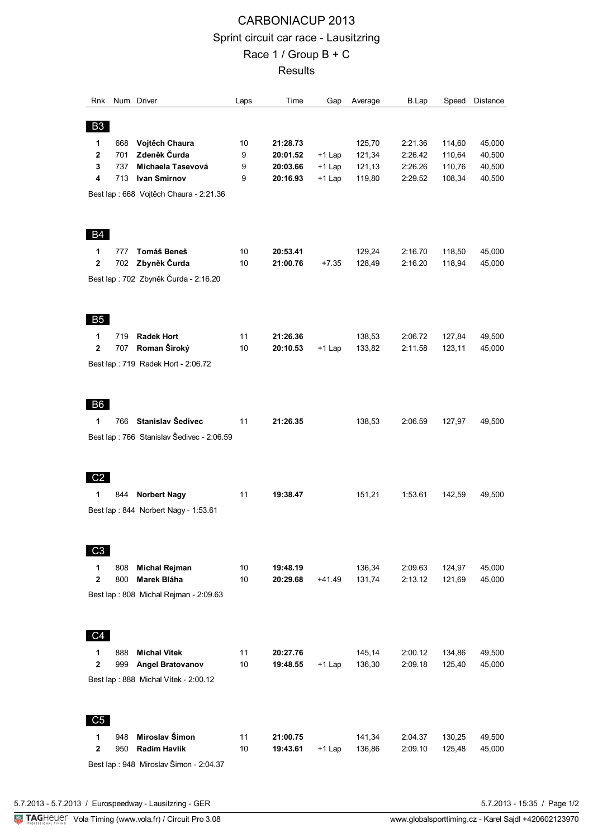## CARBONIACUP 2013 Sprint circuit car race - Lausitzring Race 1 / Group B + C **Results**

| Rnk                                     |     | Num Driver                                 | Laps | Time     | Gap      | Average | B.Lap   | Speed  | Distance |  |
|-----------------------------------------|-----|--------------------------------------------|------|----------|----------|---------|---------|--------|----------|--|
| <b>B3</b>                               |     |                                            |      |          |          |         |         |        |          |  |
| 1                                       | 668 | Vojtěch Chaura                             | 10   | 21:28.73 |          | 125,70  | 2:21.36 | 114,60 | 45,000   |  |
| $\mathbf{2}$                            | 701 | Zdeněk Čurda                               | 9    | 20:01.52 | $+1$ Lap | 121,34  | 2:26.42 | 110,64 | 40,500   |  |
| 3                                       | 737 | Michaela Tasevová                          | 9    | 20:03.66 | $+1$ Lap | 121,13  | 2:26.26 | 110,76 | 40,500   |  |
| 4                                       | 713 | <b>Ivan Smirnov</b>                        | 9    | 20:16.93 | $+1$ Lap | 119,80  | 2:29.52 | 108,34 | 40,500   |  |
| Best lap : 668 Vojtěch Chaura - 2:21.36 |     |                                            |      |          |          |         |         |        |          |  |
|                                         |     |                                            |      |          |          |         |         |        |          |  |
| <b>B4</b>                               |     |                                            |      |          |          |         |         |        |          |  |
| 1                                       | 777 | Tomáš Beneš                                | 10   | 20:53.41 |          | 129,24  | 2:16.70 | 118,50 | 45,000   |  |
| $\overline{2}$                          | 702 | Zbyněk Čurda                               | 10   | 21:00.76 | $+7.35$  | 128,49  | 2:16.20 | 118,94 | 45,000   |  |
| Best lap : 702 Zbyněk Čurda - 2:16.20   |     |                                            |      |          |          |         |         |        |          |  |
| B <sub>5</sub>                          |     |                                            |      |          |          |         |         |        |          |  |
| 1                                       | 719 | <b>Radek Hort</b>                          | 11   | 21:26.36 |          | 138,53  | 2:06.72 | 127,84 | 49,500   |  |
| $\overline{\mathbf{2}}$                 | 707 | Roman Široký                               | 10   | 20:10.53 | $+1$ Lap | 133,82  | 2:11.58 | 123,11 | 45,000   |  |
|                                         |     | Best lap: 719 Radek Hort - 2:06.72         |      |          |          |         |         |        |          |  |
| B <sub>6</sub>                          |     |                                            |      |          |          |         |         |        |          |  |
| 1                                       | 766 | Stanislav Šedivec                          | 11   | 21:26.35 |          | 138,53  | 2:06.59 | 127,97 | 49,500   |  |
|                                         |     | Best lap : 766 Stanislav Šedivec - 2:06.59 |      |          |          |         |         |        |          |  |
| C <sub>2</sub><br>1                     | 844 | <b>Norbert Nagy</b>                        | 11   | 19:38.47 |          | 151,21  | 1:53.61 | 142,59 | 49,500   |  |
|                                         |     |                                            |      |          |          |         |         |        |          |  |
|                                         |     | Best lap: 844 Norbert Nagy - 1:53.61       |      |          |          |         |         |        |          |  |
| C <sub>3</sub>                          |     |                                            |      |          |          |         |         |        |          |  |
| 1                                       | 808 | <b>Michal Rejman</b>                       | 10   | 19:48.19 |          | 136,34  | 2:09.63 | 124,97 | 45,000   |  |
| $\mathbf 2$                             | 800 | Marek Bláha                                | 10   | 20:29.68 | $+41.49$ | 131,74  | 2:13.12 | 121,69 | 45,000   |  |
|                                         |     | Best lap: 808 Michal Rejman - 2:09.63      |      |          |          |         |         |        |          |  |
| C <sub>4</sub>                          |     |                                            |      |          |          |         |         |        |          |  |
| 1                                       | 888 | <b>Michal Vítek</b>                        | 11   | 20:27.76 |          | 145,14  | 2:00.12 | 134,86 | 49,500   |  |
| $\mathbf 2$                             | 999 | <b>Angel Bratovanov</b>                    | 10   | 19:48.55 | $+1$ Lap | 136,30  | 2:09.18 | 125,40 | 45,000   |  |
|                                         |     | Best lap: 888 Michal Vítek - 2:00.12       |      |          |          |         |         |        |          |  |
| C <sub>5</sub>                          |     |                                            |      |          |          |         |         |        |          |  |
| 1                                       | 948 | Miroslav Šimon                             | 11   | 21:00.75 |          | 141,34  | 2:04.37 | 130,25 | 49,500   |  |
| $\mathbf 2$                             | 950 | Radim Havlík                               | 10   | 19:43.61 | $+1$ Lap | 136,86  | 2:09.10 | 125,48 | 45,000   |  |
| Best lap : 948 Miroslav Šimon - 2:04.37 |     |                                            |      |          |          |         |         |        |          |  |